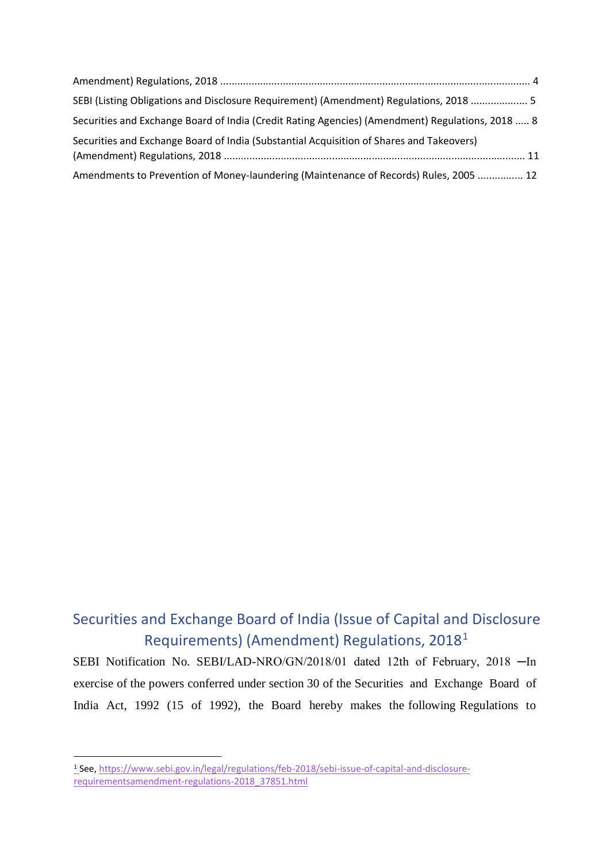| SEBI (Listing Obligations and Disclosure Requirement) (Amendment) Regulations, 2018  5           |  |
|--------------------------------------------------------------------------------------------------|--|
| Securities and Exchange Board of India (Credit Rating Agencies) (Amendment) Regulations, 2018  8 |  |
| Securities and Exchange Board of India (Substantial Acquisition of Shares and Takeovers)         |  |
| Amendments to Prevention of Money-laundering (Maintenance of Records) Rules, 2005  12            |  |

## Securities and Exchange Board of India (Issue of Capital and Disclosure Requirements) (Amendment) Regulations, 2018<sup>1</sup>

SEBI Notification No. SEBI/LAD-NRO/GN/2018/01 dated 12th of February, 2018 - In exercise of the powers conferred under section 30 of the Securities and Exchange Board of India Act, 1992 (15 of 1992), the Board hereby makes the following Regulations to

<sup>1</sup> See, [https://www.sebi.gov.in/legal/regulations/feb-2018/sebi-issue-of-capital-and-disclosure](https://www.sebi.gov.in/legal/regulations/feb-2018/sebi-issue-of-capital-and-disclosure-requirements-amendment-regulations-2018_37851.html)[requirementsamendment-regulations-2018\\_37851.html](https://www.sebi.gov.in/legal/regulations/feb-2018/sebi-issue-of-capital-and-disclosure-requirements-amendment-regulations-2018_37851.html)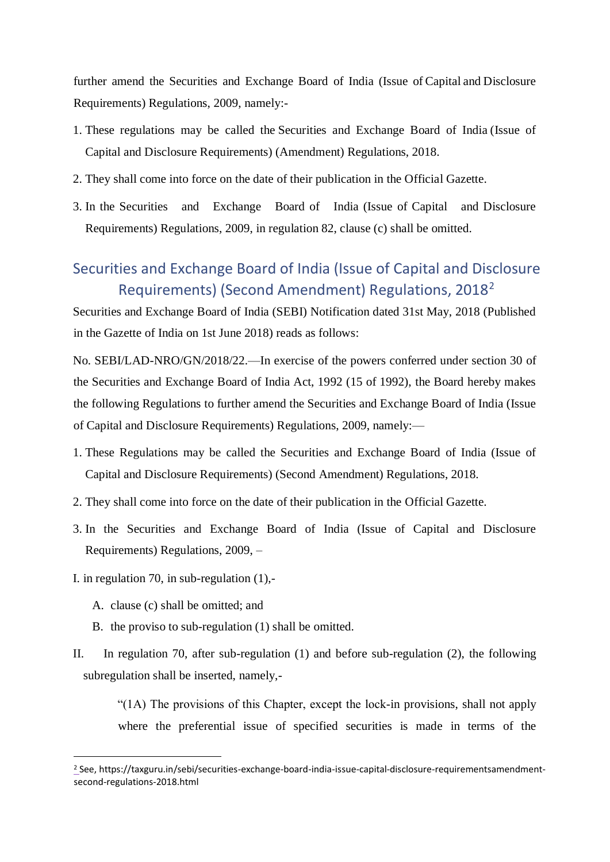further amend the Securities and Exchange Board of India (Issue of Capital and Disclosure Requirements) Regulations, 2009, namely:-

- 1. These regulations may be called the Securities and Exchange Board of India (Issue of Capital and Disclosure Requirements) (Amendment) Regulations, 2018.
- 2. They shall come into force on the date of their publication in the Official Gazette.
- 3. In the Securities and Exchange Board of India (Issue of Capital and Disclosure Requirements) Regulations, 2009, in regulation 82, clause (c) shall be omitted.

### Securities and Exchange Board of India (Issue of Capital and Disclosure Requirements) (Second Amendment) Regulations, 2018<sup>2</sup>

Securities and Exchange Board of India (SEBI) Notification dated 31st May, 2018 (Published in the Gazette of India on 1st June 2018) reads as follows:

No. SEBI/LAD-NRO/GN/2018/22.—In exercise of the powers conferred under section 30 of the Securities and Exchange Board of India Act, 1992 (15 of 1992), the Board hereby makes the following Regulations to further amend the Securities and Exchange Board of India (Issue of Capital and Disclosure Requirements) Regulations, 2009, namely:—

- 1. These Regulations may be called the Securities and Exchange Board of India (Issue of Capital and Disclosure Requirements) (Second Amendment) Regulations, 2018.
- 2. They shall come into force on the date of their publication in the Official Gazette.
- 3. In the Securities and Exchange Board of India (Issue of Capital and Disclosure Requirements) Regulations, 2009, –
- I. in regulation 70, in sub-regulation (1),-
	- A. clause (c) shall be omitted; and

1

- B. the proviso to sub-regulation (1) shall be omitted.
- II. In regulation 70, after sub-regulation (1) and before sub-regulation (2), the following subregulation shall be inserted, namely,-

"(1A) The provisions of this Chapter, except the lock-in provisions, shall not apply where the preferential issue of specified securities is made in terms of the

<sup>2</sup> See, https://taxguru.in/sebi/securities-exchange-board-india-issue-capital-disclosure-requirementsamendmentsecond-regulations-2018.html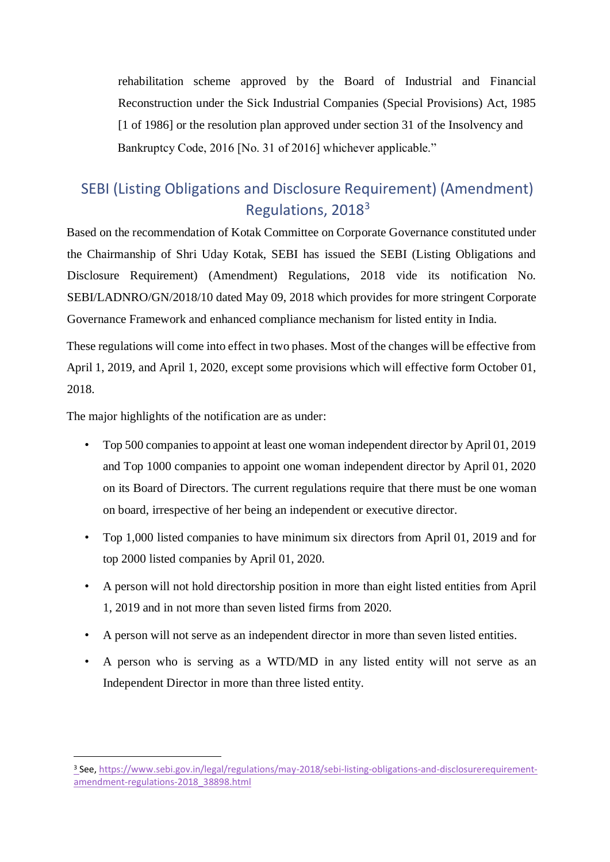rehabilitation scheme approved by the Board of Industrial and Financial Reconstruction under the Sick Industrial Companies (Special Provisions) Act, 1985 [1 of 1986] or the resolution plan approved under section 31 of the Insolvency and Bankruptcy Code, 2016 [No. 31 of 2016] whichever applicable."

## SEBI (Listing Obligations and Disclosure Requirement) (Amendment) Regulations, 2018<sup>3</sup>

Based on the recommendation of Kotak Committee on Corporate Governance constituted under the Chairmanship of Shri Uday Kotak, SEBI has issued the SEBI (Listing Obligations and Disclosure Requirement) (Amendment) Regulations, 2018 vide its notification No. SEBI/LADNRO/GN/2018/10 dated May 09, 2018 which provides for more stringent Corporate Governance Framework and enhanced compliance mechanism for listed entity in India.

These regulations will come into effect in two phases. Most of the changes will be effective from April 1, 2019, and April 1, 2020, except some provisions which will effective form October 01, 2018.

The major highlights of the notification are as under:

- Top 500 companies to appoint at least one woman independent director by April 01, 2019 and Top 1000 companies to appoint one woman independent director by April 01, 2020 on its Board of Directors. The current regulations require that there must be one woman on board, irrespective of her being an independent or executive director.
- Top 1,000 listed companies to have minimum six directors from April 01, 2019 and for top 2000 listed companies by April 01, 2020.
- A person will not hold directorship position in more than eight listed entities from April 1, 2019 and in not more than seven listed firms from 2020.
- A person will not serve as an independent director in more than seven listed entities.
- A person who is serving as a WTD/MD in any listed entity will not serve as an Independent Director in more than three listed entity.

<sup>3</sup> See, [https://www.sebi.gov.in/legal/regulations/may-2018/sebi-listing-obligations-and-disclosurerequirement](https://www.sebi.gov.in/legal/regulations/may-2018/sebi-listing-obligations-and-disclosure-requirement-amendment-regulations-2018_38898.html)[amendment-regulations-2018\\_38898.html](https://www.sebi.gov.in/legal/regulations/may-2018/sebi-listing-obligations-and-disclosure-requirement-amendment-regulations-2018_38898.html)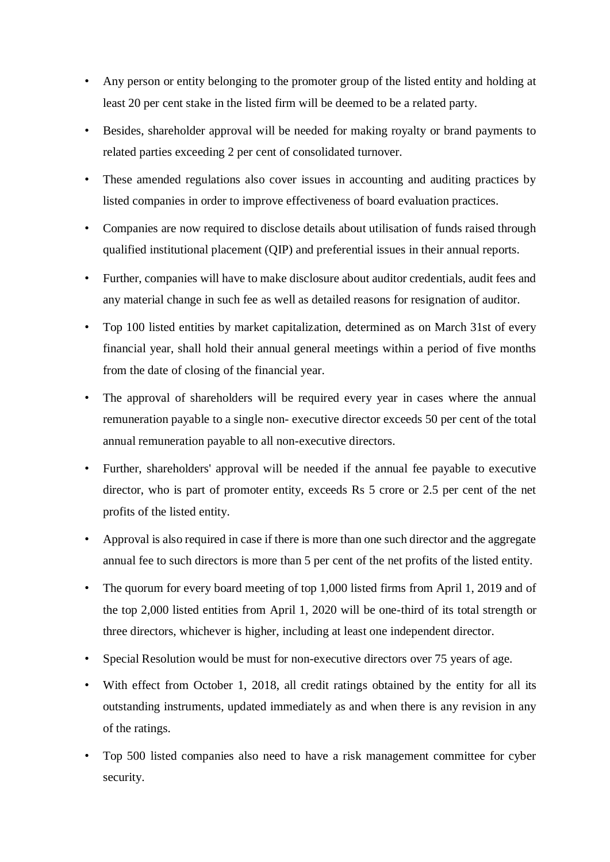- Any person or entity belonging to the promoter group of the listed entity and holding at least 20 per cent stake in the listed firm will be deemed to be a related party.
- Besides, shareholder approval will be needed for making royalty or brand payments to related parties exceeding 2 per cent of consolidated turnover.
- These amended regulations also cover issues in accounting and auditing practices by listed companies in order to improve effectiveness of board evaluation practices.
- Companies are now required to disclose details about utilisation of funds raised through qualified institutional placement (QIP) and preferential issues in their annual reports.
- Further, companies will have to make disclosure about auditor credentials, audit fees and any material change in such fee as well as detailed reasons for resignation of auditor.
- Top 100 listed entities by market capitalization, determined as on March 31st of every financial year, shall hold their annual general meetings within a period of five months from the date of closing of the financial year.
- The approval of shareholders will be required every year in cases where the annual remuneration payable to a single non- executive director exceeds 50 per cent of the total annual remuneration payable to all non-executive directors.
- Further, shareholders' approval will be needed if the annual fee payable to executive director, who is part of promoter entity, exceeds Rs 5 crore or 2.5 per cent of the net profits of the listed entity.
- Approval is also required in case if there is more than one such director and the aggregate annual fee to such directors is more than 5 per cent of the net profits of the listed entity.
- The quorum for every board meeting of top 1,000 listed firms from April 1, 2019 and of the top 2,000 listed entities from April 1, 2020 will be one-third of its total strength or three directors, whichever is higher, including at least one independent director.
- Special Resolution would be must for non-executive directors over 75 years of age.
- With effect from October 1, 2018, all credit ratings obtained by the entity for all its outstanding instruments, updated immediately as and when there is any revision in any of the ratings.
- Top 500 listed companies also need to have a risk management committee for cyber security.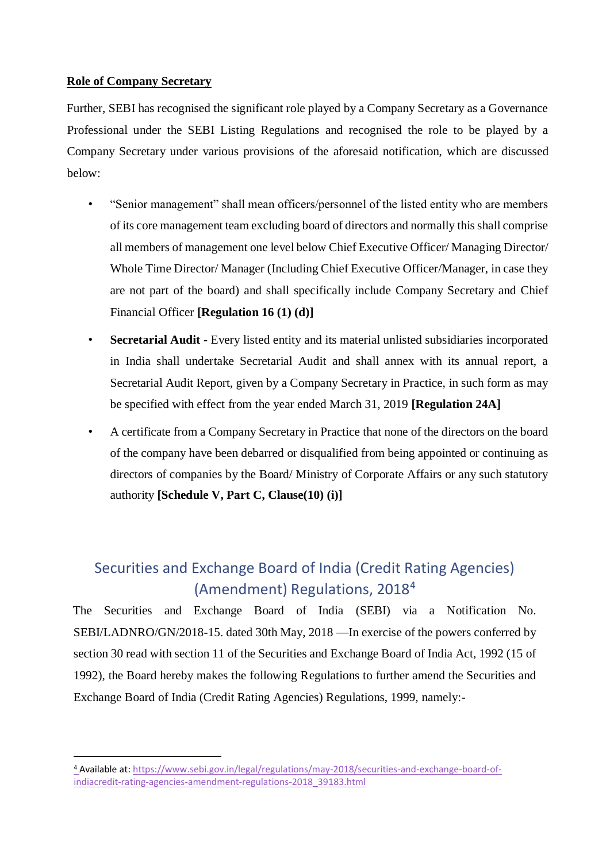#### **Role of Company Secretary**

1

Further, SEBI has recognised the significant role played by a Company Secretary as a Governance Professional under the SEBI Listing Regulations and recognised the role to be played by a Company Secretary under various provisions of the aforesaid notification, which are discussed below:

- "Senior management" shall mean officers/personnel of the listed entity who are members of its core management team excluding board of directors and normally this shall comprise all members of management one level below Chief Executive Officer/ Managing Director/ Whole Time Director/ Manager (Including Chief Executive Officer/Manager, in case they are not part of the board) and shall specifically include Company Secretary and Chief Financial Officer **[Regulation 16 (1) (d)]**
- **Secretarial Audit -** Every listed entity and its material unlisted subsidiaries incorporated in India shall undertake Secretarial Audit and shall annex with its annual report, a Secretarial Audit Report, given by a Company Secretary in Practice, in such form as may be specified with effect from the year ended March 31, 2019 **[Regulation 24A]**
- A certificate from a Company Secretary in Practice that none of the directors on the board of the company have been debarred or disqualified from being appointed or continuing as directors of companies by the Board/ Ministry of Corporate Affairs or any such statutory authority **[Schedule V, Part C, Clause(10) (i)]**

# Securities and Exchange Board of India (Credit Rating Agencies) (Amendment) Regulations, 2018<sup>4</sup>

The Securities and Exchange Board of India (SEBI) via a Notification No. SEBI/LADNRO/GN/2018-15. dated 30th May, 2018 —In exercise of the powers conferred by section 30 read with section 11 of the Securities and Exchange Board of India Act, 1992 (15 of 1992), the Board hereby makes the following Regulations to further amend the Securities and Exchange Board of India (Credit Rating Agencies) Regulations, 1999, namely:-

<sup>4</sup> Available at: [https://www.sebi.gov.in/legal/regulations/may-2018/securities-and-exchange-board-of](https://www.sebi.gov.in/legal/regulations/may-2018/securities-and-exchange-board-of-india-credit-rating-agencies-amendment-regulations-2018_39183.html)[indiacredit-rating-agencies-amendment-regulations-2018\\_39183.html](https://www.sebi.gov.in/legal/regulations/may-2018/securities-and-exchange-board-of-india-credit-rating-agencies-amendment-regulations-2018_39183.html)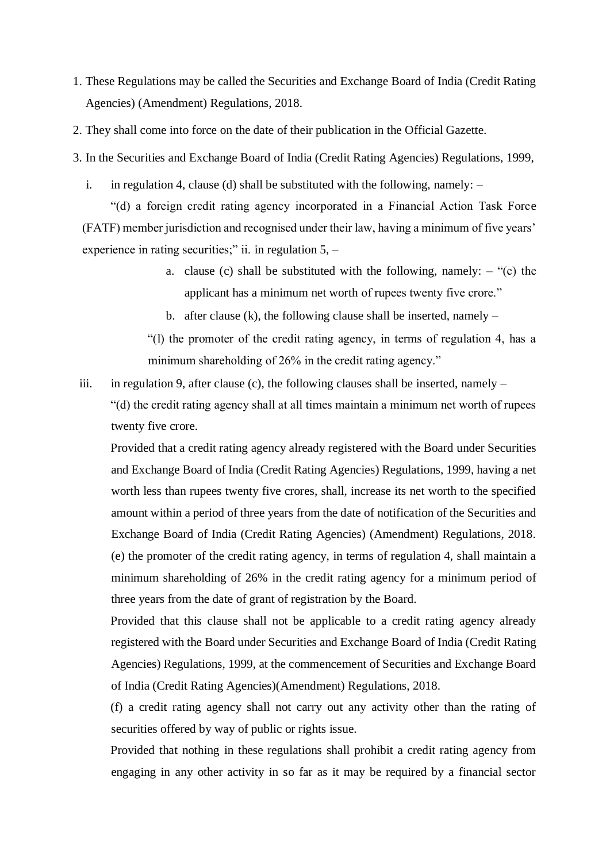- 1. These Regulations may be called the Securities and Exchange Board of India (Credit Rating Agencies) (Amendment) Regulations, 2018.
- 2. They shall come into force on the date of their publication in the Official Gazette.
- 3. In the Securities and Exchange Board of India (Credit Rating Agencies) Regulations, 1999,
	- i. in regulation 4, clause (d) shall be substituted with the following, namely:  $-$

"(d) a foreign credit rating agency incorporated in a Financial Action Task Force (FATF) member jurisdiction and recognised under their law, having a minimum of five years' experience in rating securities;" ii. in regulation 5, –

- a. clause (c) shall be substituted with the following, namely:  $-$  "(c) the applicant has a minimum net worth of rupees twenty five crore."
- b. after clause (k), the following clause shall be inserted, namely  $-$

"(l) the promoter of the credit rating agency, in terms of regulation 4, has a minimum shareholding of 26% in the credit rating agency."

iii. in regulation 9, after clause (c), the following clauses shall be inserted, namely  $-$ "(d) the credit rating agency shall at all times maintain a minimum net worth of rupees twenty five crore.

Provided that a credit rating agency already registered with the Board under Securities and Exchange Board of India (Credit Rating Agencies) Regulations, 1999, having a net worth less than rupees twenty five crores, shall, increase its net worth to the specified amount within a period of three years from the date of notification of the Securities and Exchange Board of India (Credit Rating Agencies) (Amendment) Regulations, 2018. (e) the promoter of the credit rating agency, in terms of regulation 4, shall maintain a minimum shareholding of 26% in the credit rating agency for a minimum period of three years from the date of grant of registration by the Board.

Provided that this clause shall not be applicable to a credit rating agency already registered with the Board under Securities and Exchange Board of India (Credit Rating Agencies) Regulations, 1999, at the commencement of Securities and Exchange Board of India (Credit Rating Agencies)(Amendment) Regulations, 2018.

(f) a credit rating agency shall not carry out any activity other than the rating of securities offered by way of public or rights issue.

Provided that nothing in these regulations shall prohibit a credit rating agency from engaging in any other activity in so far as it may be required by a financial sector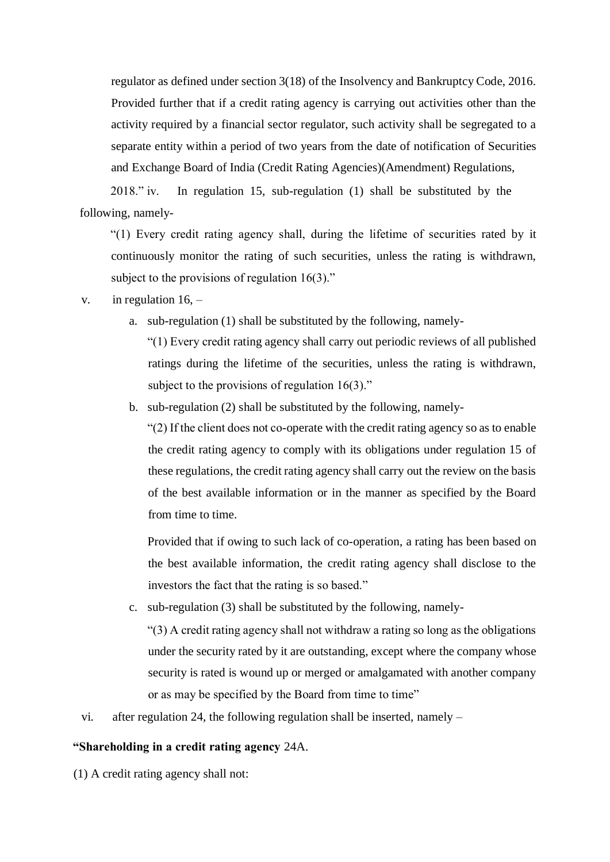regulator as defined under section 3(18) of the Insolvency and Bankruptcy Code, 2016. Provided further that if a credit rating agency is carrying out activities other than the activity required by a financial sector regulator, such activity shall be segregated to a separate entity within a period of two years from the date of notification of Securities and Exchange Board of India (Credit Rating Agencies)(Amendment) Regulations,

2018." iv. In regulation 15, sub-regulation (1) shall be substituted by the following, namely-

"(1) Every credit rating agency shall, during the lifetime of securities rated by it continuously monitor the rating of such securities, unless the rating is withdrawn, subject to the provisions of regulation 16(3)."

#### v. in regulation  $16$ ,  $-$

a. sub-regulation (1) shall be substituted by the following, namely-

"(1) Every credit rating agency shall carry out periodic reviews of all published ratings during the lifetime of the securities, unless the rating is withdrawn, subject to the provisions of regulation 16(3)."

b. sub-regulation (2) shall be substituted by the following, namely-

"(2) If the client does not co-operate with the credit rating agency so as to enable the credit rating agency to comply with its obligations under regulation 15 of these regulations, the credit rating agency shall carry out the review on the basis of the best available information or in the manner as specified by the Board from time to time.

Provided that if owing to such lack of co-operation, a rating has been based on the best available information, the credit rating agency shall disclose to the investors the fact that the rating is so based."

c. sub-regulation (3) shall be substituted by the following, namely-

"(3) A credit rating agency shall not withdraw a rating so long as the obligations under the security rated by it are outstanding, except where the company whose security is rated is wound up or merged or amalgamated with another company or as may be specified by the Board from time to time"

vi. after regulation 24, the following regulation shall be inserted, namely –

#### **"Shareholding in a credit rating agency** 24A.

(1) A credit rating agency shall not: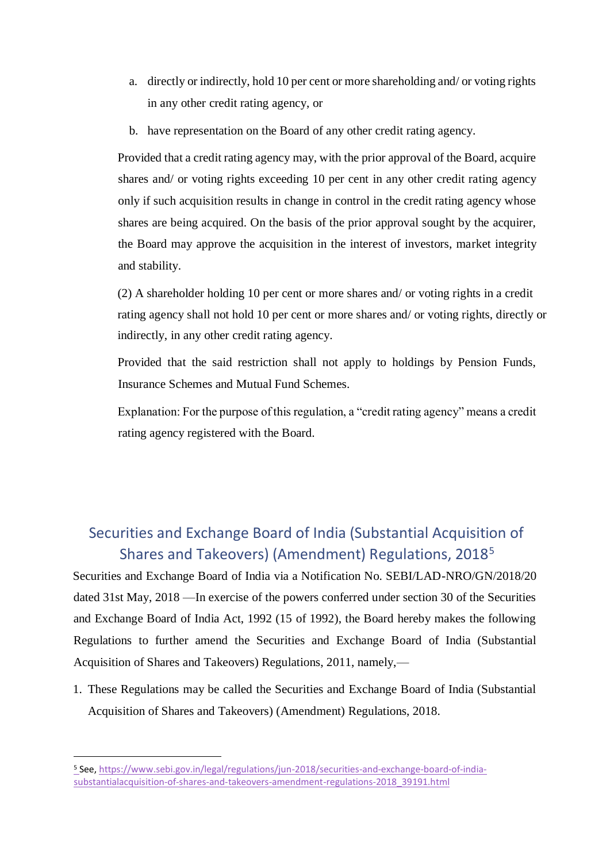- a. directly or indirectly, hold 10 per cent or more shareholding and/ or voting rights in any other credit rating agency, or
- b. have representation on the Board of any other credit rating agency.

Provided that a credit rating agency may, with the prior approval of the Board, acquire shares and/ or voting rights exceeding 10 per cent in any other credit rating agency only if such acquisition results in change in control in the credit rating agency whose shares are being acquired. On the basis of the prior approval sought by the acquirer, the Board may approve the acquisition in the interest of investors, market integrity and stability.

(2) A shareholder holding 10 per cent or more shares and/ or voting rights in a credit rating agency shall not hold 10 per cent or more shares and/ or voting rights, directly or indirectly, in any other credit rating agency.

Provided that the said restriction shall not apply to holdings by Pension Funds, Insurance Schemes and Mutual Fund Schemes.

Explanation: For the purpose of this regulation, a "credit rating agency" means a credit rating agency registered with the Board.

### Securities and Exchange Board of India (Substantial Acquisition of Shares and Takeovers) (Amendment) Regulations, 2018<sup>5</sup>

Securities and Exchange Board of India via a Notification No. SEBI/LAD-NRO/GN/2018/20 dated 31st May, 2018 —In exercise of the powers conferred under section 30 of the Securities and Exchange Board of India Act, 1992 (15 of 1992), the Board hereby makes the following Regulations to further amend the Securities and Exchange Board of India (Substantial Acquisition of Shares and Takeovers) Regulations, 2011, namely,—

1. These Regulations may be called the Securities and Exchange Board of India (Substantial Acquisition of Shares and Takeovers) (Amendment) Regulations, 2018.

<sup>5</sup> See, [https://www.sebi.gov.in/legal/regulations/jun-2018/securities-and-exchange-board-of-india](https://www.sebi.gov.in/legal/regulations/jun-2018/securities-and-exchange-board-of-india-substantial-acquisition-of-shares-and-takeovers-amendment-regulations-2018_39191.html)[substantialacquisition-of-shares-and-takeovers-amendment-regulations-2018\\_39191.html](https://www.sebi.gov.in/legal/regulations/jun-2018/securities-and-exchange-board-of-india-substantial-acquisition-of-shares-and-takeovers-amendment-regulations-2018_39191.html)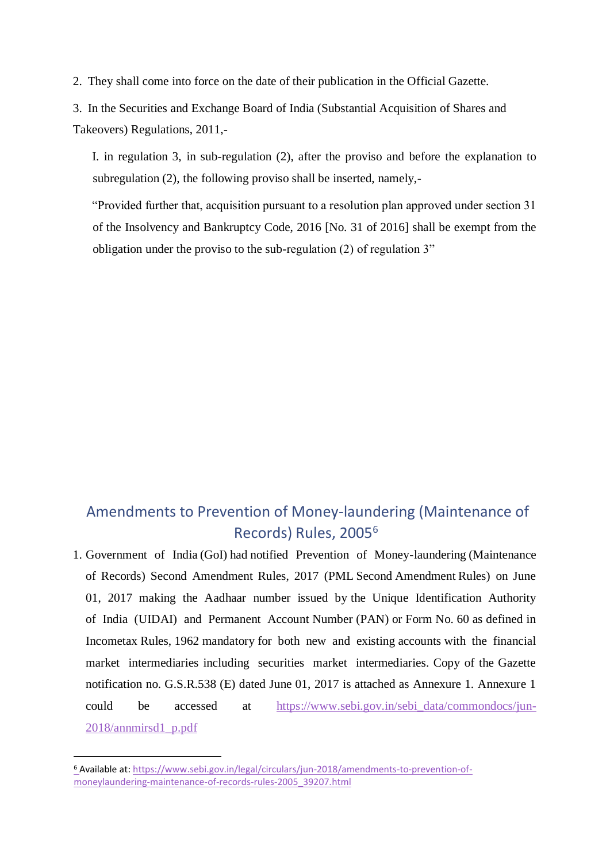2. They shall come into force on the date of their publication in the Official Gazette.

3. In the Securities and Exchange Board of India (Substantial Acquisition of Shares and Takeovers) Regulations, 2011,-

I. in regulation 3, in sub-regulation (2), after the proviso and before the explanation to subregulation (2), the following proviso shall be inserted, namely,-

"Provided further that, acquisition pursuant to a resolution plan approved under section 31 of the Insolvency and Bankruptcy Code, 2016 [No. 31 of 2016] shall be exempt from the obligation under the proviso to the sub-regulation (2) of regulation 3"

## Amendments to Prevention of Money-laundering (Maintenance of Records) Rules, 2005<sup>6</sup>

1. Government of India (GoI) had notified Prevention of Money-laundering (Maintenance of Records) Second Amendment Rules, 2017 (PML Second Amendment Rules) on June 01, 2017 making the Aadhaar number issued by the Unique Identification Authority of India (UIDAI) and Permanent Account Number (PAN) or Form No. 60 as defined in Incometax Rules, 1962 mandatory for both new and existing accounts with the financial market intermediaries including securities market intermediaries. Copy of the Gazette notification no. G.S.R.538 (E) dated June 01, 2017 is attached as Annexure 1. Annexure 1 could be accessed at [https://www.sebi.gov.in/sebi\\_data/commondocs/jun-](https://www.sebi.gov.in/sebi_data/commondocs/jun-2018/annmirsd1_p.pdf)[2018/annmirsd1\\_p.pdf](https://www.sebi.gov.in/sebi_data/commondocs/jun-2018/annmirsd1_p.pdf)

<sup>6</sup> Available at: [https://www.sebi.gov.in/legal/circulars/jun-2018/amendments-to-prevention-of](https://www.sebi.gov.in/legal/circulars/jun-2018/amendments-to-prevention-of-money-laundering-maintenance-of-records-rules-2005_39207.html)[moneylaundering-maintenance-of-records-rules-2005\\_39207.html](https://www.sebi.gov.in/legal/circulars/jun-2018/amendments-to-prevention-of-money-laundering-maintenance-of-records-rules-2005_39207.html)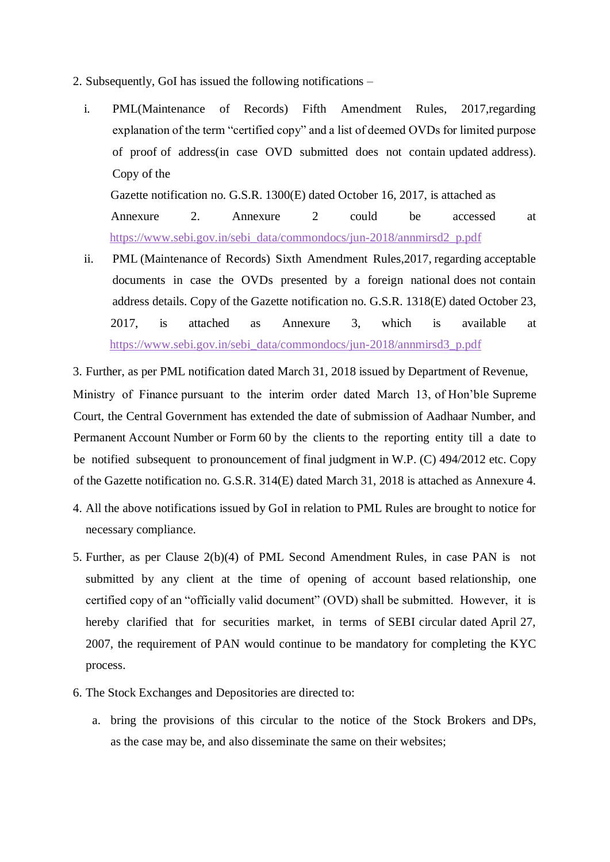- 2. Subsequently, GoI has issued the following notifications
	- i. PML(Maintenance of Records) Fifth Amendment Rules, 2017,regarding explanation of the term "certified copy" and a list of deemed OVDs for limited purpose of proof of address(in case OVD submitted does not contain updated address). Copy of the

Gazette notification no. G.S.R. 1300(E) dated October 16, 2017, is attached as Annexure 2. Annexure 2 could be accessed at [https://www.sebi.gov.in/sebi\\_data/commondocs/jun-2018/annmirsd2\\_p.pdf](https://www.sebi.gov.in/sebi_data/commondocs/jun-2018/annmirsd2_p.pdf)

ii. PML (Maintenance of Records) Sixth Amendment Rules,2017, regarding acceptable documents in case the OVDs presented by a foreign national does not contain address details. Copy of the Gazette notification no. G.S.R. 1318(E) dated October 23, 2017, is attached as Annexure 3, which is available at [https://www.sebi.gov.in/sebi\\_data/commondocs/jun-2018/annmirsd3\\_p.pdf](https://www.sebi.gov.in/sebi_data/commondocs/jun-2018/annmirsd3_p.pdf)

3. Further, as per PML notification dated March 31, 2018 issued by Department of Revenue,

Ministry of Finance pursuant to the interim order dated March 13, of Hon'ble Supreme Court, the Central Government has extended the date of submission of Aadhaar Number, and Permanent Account Number or Form 60 by the clients to the reporting entity till a date to be notified subsequent to pronouncement of final judgment in W.P. (C) 494/2012 etc. Copy of the Gazette notification no. G.S.R. 314(E) dated March 31, 2018 is attached as Annexure 4.

- 4. All the above notifications issued by GoI in relation to PML Rules are brought to notice for necessary compliance.
- 5. Further, as per Clause 2(b)(4) of PML Second Amendment Rules, in case PAN is not submitted by any client at the time of opening of account based relationship, one certified copy of an "officially valid document" (OVD) shall be submitted. However, it is hereby clarified that for securities market, in terms of SEBI circular dated April 27, 2007, the requirement of PAN would continue to be mandatory for completing the KYC process.
- 6. The Stock Exchanges and Depositories are directed to:
	- a. bring the provisions of this circular to the notice of the Stock Brokers and DPs, as the case may be, and also disseminate the same on their websites;